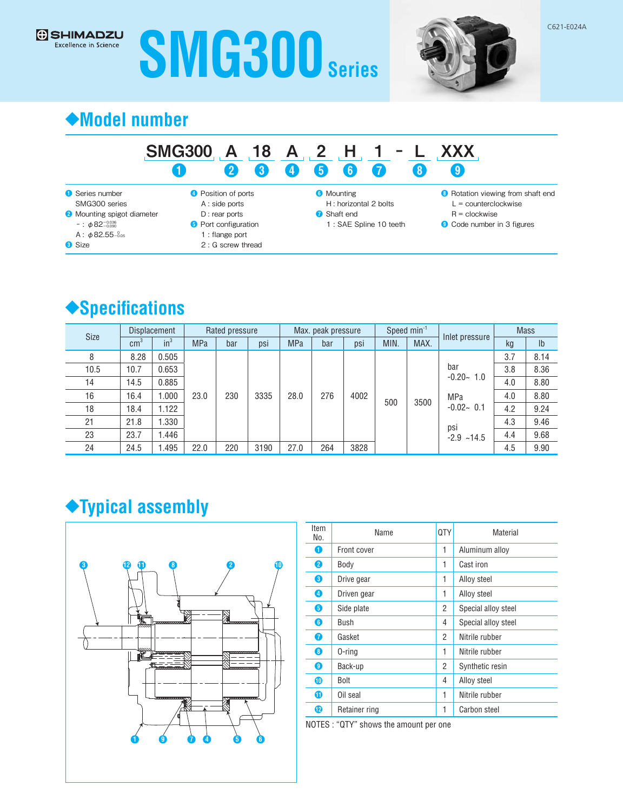# **SMG300 Series**



## **◆Model number**

#### SMG300 A 18 A 2 H 1 -❶ ❷ ❸ ❹ ❺ 6 ❼ L XXX ❽ ❾

❶ Series number SMG300 series ❷ Mounting spigot diameter  $-$ : φ82<sup>-0.036</sup> A : φ82.55 $\substack{0.05 \ 0.05}$ 

**8** Size

**G** SHIMADZU Excellence in Science

**O** Position of ports

- A : side ports D : rear ports
- **O** Port configuration
- 1 : flange port
- 2 : G screw thread

**6** Mounting H : horizontal 2 bolts

- **↑** Shaft end
	- 1 : SAE Spline 10 teeth
- <sup>6</sup> Rotation viewing from shaft end L = counterclockwise
	- R = clockwise
- ❾ Code number in 3 figures

# ◆**Specifications**

| Size | <b>Displacement</b> |        | Rated pressure |     | Max. peak pressure |            |     | Speed $min^{-1}$ |      |      | <b>Mass</b>            |     |                |
|------|---------------------|--------|----------------|-----|--------------------|------------|-----|------------------|------|------|------------------------|-----|----------------|
|      | $\text{cm}^3$       | $in^3$ | <b>MPa</b>     | bar | psi                | <b>MPa</b> | bar | psi              | MIN. | MAX. | Inlet pressure         | kg  | I <sub>b</sub> |
| 8    | 8.28                | 0.505  | 23.0           | 230 | 3335               | 28.0       | 276 | 4002             | 500  | 3500 | bar<br>$-0.20 - 1.0$   | 3.7 | 8.14           |
| 10.5 | 10.7                | 0.653  |                |     |                    |            |     |                  |      |      |                        | 3.8 | 8.36           |
| 14   | 14.5                | 0.885  |                |     |                    |            |     |                  |      |      |                        | 4.0 | 8.80           |
| 16   | 16.4                | 000.1  |                |     |                    |            |     |                  |      |      | MPa<br>$-0.02 - 0.1$   | 4.0 | 8.80           |
| 18   | 18.4                | 1.122  |                |     |                    |            |     |                  |      |      |                        | 4.2 | 9.24           |
| 21   | 21.8                | 1.330  |                |     |                    |            |     |                  |      |      | psi<br>$-2.9$<br>~14.5 | 4.3 | 9.46           |
| 23   | 23.7                | .446   |                |     |                    |            |     |                  |      |      |                        | 4.4 | 9.68           |
| 24   | 24.5                | 1.495  | 22.0           | 220 | 3190               | 27.0       | 264 | 3828             |      |      |                        | 4.5 | 9.90           |

# **◆Typical assembly**



| Item<br>No. | Name          |   | Material            |  |
|-------------|---------------|---|---------------------|--|
| O           | Front cover   | 1 | Aluminum alloy      |  |
| 2           | Body          | 1 | Cast iron           |  |
| 3           | Drive gear    | 1 | Alloy steel         |  |
| 4           | Driven gear   | 1 | Alloy steel         |  |
| 6           | Side plate    | 2 | Special alloy steel |  |
| 6           | Bush          | 4 | Special alloy steel |  |
| 7           | Gasket        | 2 | Nitrile rubber      |  |
| 8           | 0-ring        | 1 | Nitrile rubber      |  |
| 0           | Back-up       | 2 | Synthetic resin     |  |
| ⋒           | Bolt          | 4 | Alloy steel         |  |
| ➊           | Oil seal      | 1 | Nitrile rubber      |  |
| 12          | Retainer ring |   | Carbon steel        |  |

NOTES : "QTY" shows the amount per one